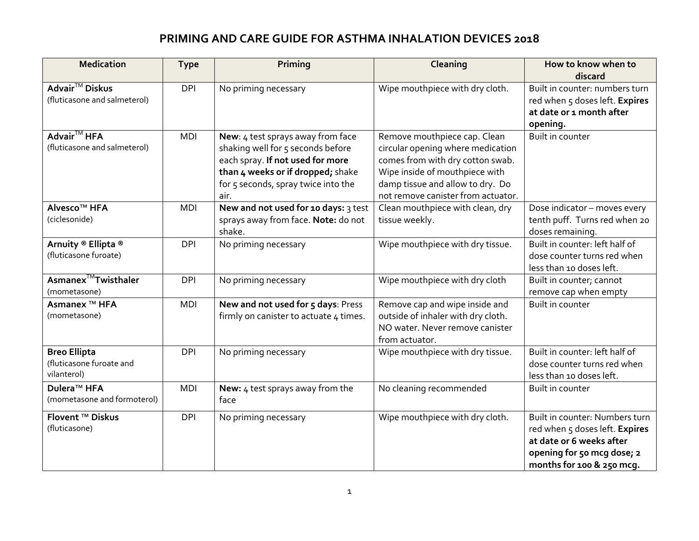## **PRIMING AND CARE GUIDE FOR ASTHMA INHALATION DEVICES 2018**

| <b>Medication</b>               | <b>Type</b> | Priming                                | Cleaning                           | How to know when to            |
|---------------------------------|-------------|----------------------------------------|------------------------------------|--------------------------------|
|                                 |             |                                        |                                    | discard                        |
| Advair <sup>™</sup> Diskus      | <b>DPI</b>  | No priming necessary                   | Wipe mouthpiece with dry cloth.    | Built in counter: numbers turn |
| (fluticasone and salmeterol)    |             |                                        |                                    | red when 5 doses left. Expires |
|                                 |             |                                        |                                    | at date or 1 month after       |
|                                 |             |                                        |                                    | opening.                       |
| Advair <sup>™</sup> HFA         | <b>MDI</b>  | New: 4 test sprays away from face      | Remove mouthpiece cap. Clean       | Built in counter               |
| (fluticasone and salmeterol)    |             | shaking well for 5 seconds before      | circular opening where medication  |                                |
|                                 |             | each spray. If not used for more       | comes from with dry cotton swab.   |                                |
|                                 |             | than 4 weeks or if dropped; shake      | Wipe inside of mouthpiece with     |                                |
|                                 |             | for 5 seconds, spray twice into the    | damp tissue and allow to dry. Do   |                                |
|                                 |             | air.                                   | not remove canister from actuator. |                                |
| Alvesco <sup>™</sup> HFA        | <b>MDI</b>  | New and not used for 10 days: 3 test   | Clean mouthpiece with clean, dry   | Dose indicator - moves every   |
| (ciclesonide)                   |             | sprays away from face. Note: do not    | tissue weekly.                     | tenth puff. Turns red when 20  |
|                                 |             | shake.                                 |                                    | doses remaining.               |
| Arnuity ® Ellipta ®             | <b>DPI</b>  | No priming necessary                   | Wipe mouthpiece with dry tissue.   | Built in counter: left half of |
| (fluticasone furoate)           |             |                                        |                                    | dose counter turns red when    |
|                                 |             |                                        |                                    | less than 10 doses left.       |
| Asmanex <sup>™</sup> Twisthaler | <b>DPI</b>  | No priming necessary                   | Wipe mouthpiece with dry cloth     | Built in counter; cannot       |
| (mometasone)                    |             |                                        |                                    | remove cap when empty          |
| Asmanex <sup>™</sup> HFA        | <b>MDI</b>  | New and not used for 5 days: Press     | Remove cap and wipe inside and     | <b>Built in counter</b>        |
| (mometasone)                    |             | firmly on canister to actuate 4 times. | outside of inhaler with dry cloth. |                                |
|                                 |             |                                        | NO water. Never remove canister    |                                |
|                                 |             |                                        | from actuator.                     |                                |
| <b>Breo Ellipta</b>             | <b>DPI</b>  | No priming necessary                   | Wipe mouthpiece with dry tissue.   | Built in counter: left half of |
| (fluticasone furoate and        |             |                                        |                                    | dose counter turns red when    |
| vilanterol)                     |             |                                        |                                    | less than 10 doses left.       |
| Dulera <sup>™</sup> HFA         | <b>MDI</b>  | New: 4 test sprays away from the       | No cleaning recommended            | Built in counter               |
| (mometasone and formoterol)     |             | face                                   |                                    |                                |
| <b>Flovent ™ Diskus</b>         | <b>DPI</b>  | No priming necessary                   | Wipe mouthpiece with dry cloth.    | Built in counter: Numbers turn |
| (fluticasone)                   |             |                                        |                                    | red when 5 doses left. Expires |
|                                 |             |                                        |                                    | at date or 6 weeks after       |
|                                 |             |                                        |                                    | opening for 50 mcg dose; 2     |
|                                 |             |                                        |                                    | months for 100 & 250 mcq.      |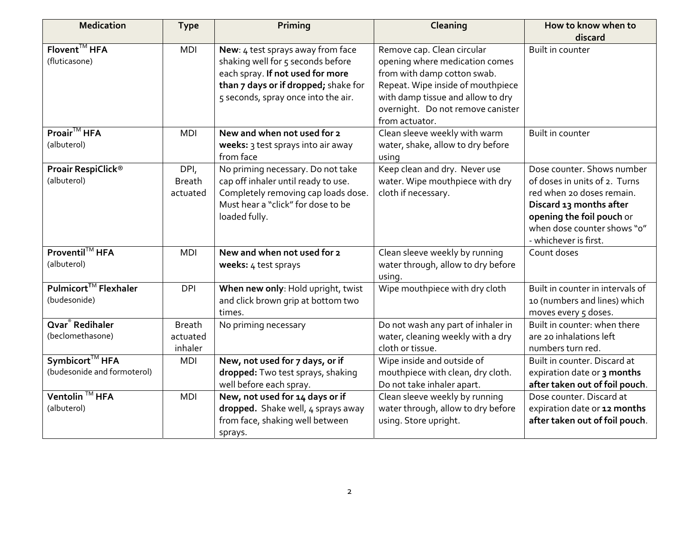| <b>Medication</b>                                         | <b>Type</b>                          | Priming                                                                                                                                                                                   | Cleaning                                                                                                                                                                                                                     | How to know when to                                                                                                                                                                                      |
|-----------------------------------------------------------|--------------------------------------|-------------------------------------------------------------------------------------------------------------------------------------------------------------------------------------------|------------------------------------------------------------------------------------------------------------------------------------------------------------------------------------------------------------------------------|----------------------------------------------------------------------------------------------------------------------------------------------------------------------------------------------------------|
|                                                           |                                      |                                                                                                                                                                                           |                                                                                                                                                                                                                              | discard                                                                                                                                                                                                  |
| Flovent <sup>™</sup> HFA<br>(fluticasone)                 | <b>MDI</b>                           | New: 4 test sprays away from face<br>shaking well for 5 seconds before<br>each spray. If not used for more<br>than 7 days or if dropped; shake for<br>5 seconds, spray once into the air. | Remove cap. Clean circular<br>opening where medication comes<br>from with damp cotton swab.<br>Repeat. Wipe inside of mouthpiece<br>with damp tissue and allow to dry<br>overnight. Do not remove canister<br>from actuator. | Built in counter                                                                                                                                                                                         |
| Proair <sup>™</sup> HFA<br>(albuterol)                    | <b>MDI</b>                           | New and when not used for 2<br>weeks: 3 test sprays into air away<br>from face                                                                                                            | Clean sleeve weekly with warm<br>water, shake, allow to dry before<br>using                                                                                                                                                  | Built in counter                                                                                                                                                                                         |
| Proair RespiClick®<br>(albuterol)                         | DPI,<br><b>Breath</b><br>actuated    | No priming necessary. Do not take<br>cap off inhaler until ready to use.<br>Completely removing cap loads dose.<br>Must hear a "click" for dose to be<br>loaded fully.                    | Keep clean and dry. Never use<br>water. Wipe mouthpiece with dry<br>cloth if necessary.                                                                                                                                      | Dose counter. Shows number<br>of doses in units of 2. Turns<br>red when 20 doses remain.<br>Discard 13 months after<br>opening the foil pouch or<br>when dose counter shows "o"<br>- whichever is first. |
| Proventil™ HFA<br>(albuterol)                             | <b>MDI</b>                           | New and when not used for 2<br>weeks: 4 test sprays                                                                                                                                       | Clean sleeve weekly by running<br>water through, allow to dry before<br>using.                                                                                                                                               | Count doses                                                                                                                                                                                              |
| Pulmicort™ Flexhaler<br>(budesonide)                      | <b>DPI</b>                           | When new only: Hold upright, twist<br>and click brown grip at bottom two<br>times.                                                                                                        | Wipe mouthpiece with dry cloth                                                                                                                                                                                               | Built in counter in intervals of<br>10 (numbers and lines) which<br>moves every 5 doses.                                                                                                                 |
| Qvar <sup>®</sup> Redihaler<br>(beclomethasone)           | <b>Breath</b><br>actuated<br>inhaler | No priming necessary                                                                                                                                                                      | Do not wash any part of inhaler in<br>water, cleaning weekly with a dry<br>cloth or tissue.                                                                                                                                  | Built in counter: when there<br>are 20 inhalations left<br>numbers turn red.                                                                                                                             |
| Symbicort <sup>™</sup> HFA<br>(budesonide and formoterol) | <b>MDI</b>                           | New, not used for 7 days, or if<br>dropped: Two test sprays, shaking<br>well before each spray.                                                                                           | Wipe inside and outside of<br>mouthpiece with clean, dry cloth.<br>Do not take inhaler apart.                                                                                                                                | Built in counter. Discard at<br>expiration date or 3 months<br>after taken out of foil pouch.                                                                                                            |
| Ventolin <sup>™</sup> HFA<br>(albuterol)                  | <b>MDI</b>                           | New, not used for 14 days or if<br>dropped. Shake well, 4 sprays away<br>from face, shaking well between<br>sprays.                                                                       | Clean sleeve weekly by running<br>water through, allow to dry before<br>using. Store upright.                                                                                                                                | Dose counter. Discard at<br>expiration date or 12 months<br>after taken out of foil pouch.                                                                                                               |